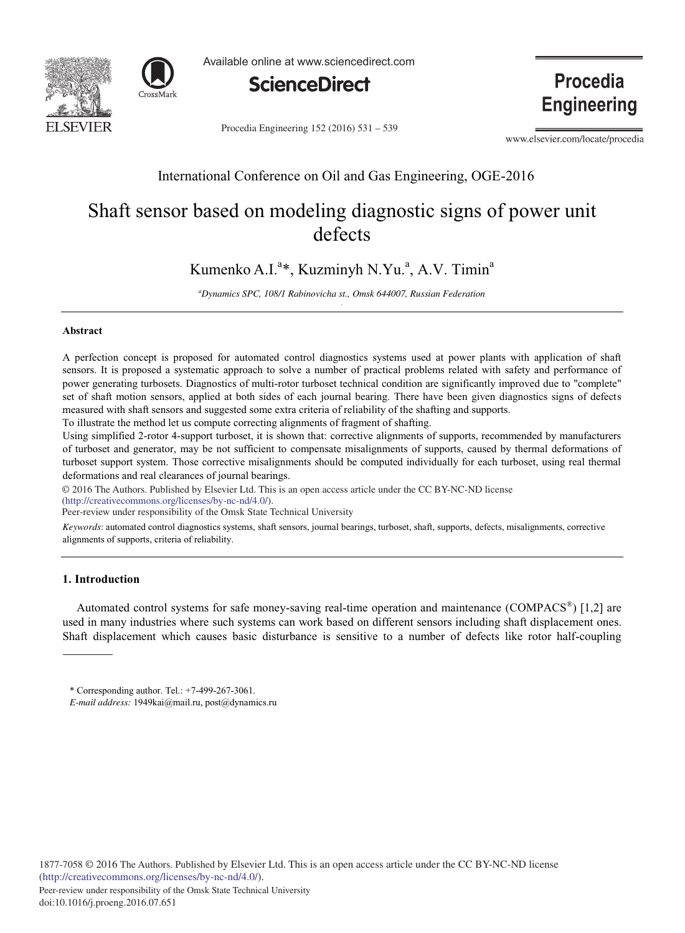



Available online at www.sciencedirect.com



Procedia Engineering 152 (2016) 531 - 539

www.elsevier.com/locate/procedia

**Procedia** 

**Engineering** 

# International Conference on Oil and Gas Engineering, OGE-2016

# Shaft sensor based on modeling diagnostic signs of power unit defects

Kumenko A.I.<sup>a</sup>\*, Kuzminyh N.Yu.<sup>a</sup>, A.V. Timin<sup>a</sup>

*a Dynamics SPC, 108/1 Rabinovicha st., Omsk 644007, Russian Federation .*

#### **Abstract**

A perfection concept is proposed for automated control diagnostics systems used at power plants with application of shaft sensors. It is proposed a systematic approach to solve a number of practical problems related with safety and performance of power generating turbosets. Diagnostics of multi-rotor turboset technical condition are significantly improved due to "complete" set of shaft motion sensors, applied at both sides of each journal bearing. There have been given diagnostics signs of defects measured with shaft sensors and suggested some extra criteria of reliability of the shafting and supports.

To illustrate the method let us compute correcting alignments of fragment of shafting.

Using simplified 2-rotor 4-support turboset, it is shown that: corrective alignments of supports, recommended by manufacturers of turboset and generator, may be not sufficient to compensate misalignments of supports, caused by thermal deformations of turboset support system. Those corrective misalignments should be computed individually for each turboset, using real thermal deformations and real clearances of journal bearings.

© 2016 The Authors. Published by Elsevier Ltd. © 2016 The Authors. Published by Elsevier Ltd. This is an open access article under the CC BY-NC-ND license

(http://creativecommons.org/licenses/by-nc-nd/4.0/).

Peer-review under responsibility of the Omsk State Technical University

*Keywords*: automated control diagnostics systems, shaft sensors, journal bearings, turboset, shaft, supports, defects, misalignments, corrective alignments of supports, criteria of reliability.

# **1. Introduction**

Automated control systems for safe money-saving real-time operation and maintenance (COMPACS<sup>®</sup>) [1,2] are used in many industries where such systems can work based on different sensors including shaft displacement ones. Shaft displacement which causes basic disturbance is sensitive to a number of defects like rotor half-coupling

<sup>\*</sup> Corresponding author. Tel.: +7-499-267-3061.

*E-mail address:* 1949kai@mail.ru, post@dynamics.ru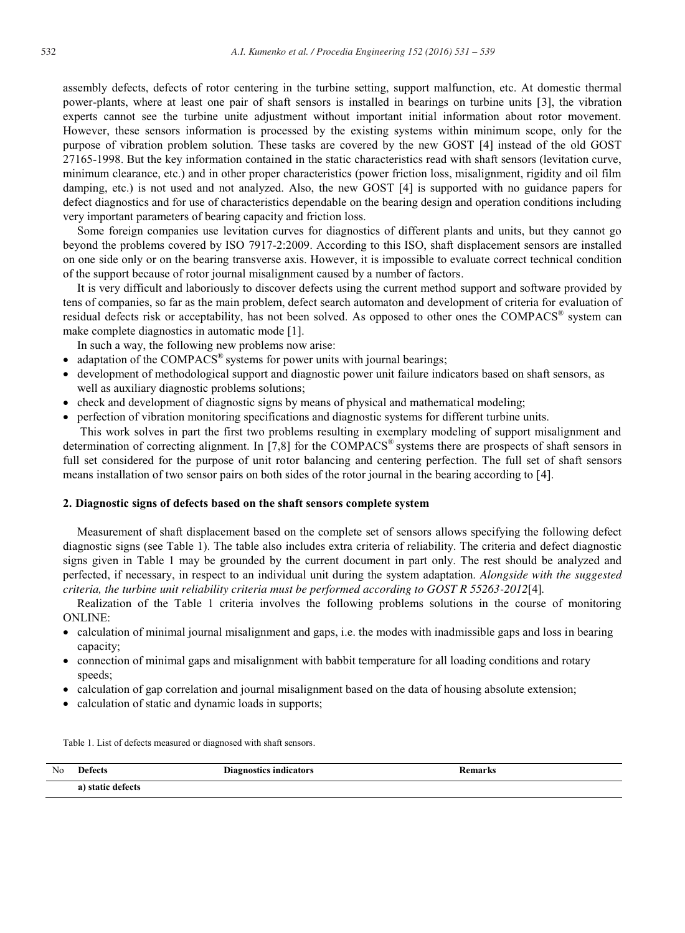assembly defects, defects of rotor centering in the turbine setting, support malfunction, etc. At domestic thermal power-plants, where at least one pair of shaft sensors is installed in bearings on turbine units [3], the vibration experts cannot see the turbine unite adjustment without important initial information about rotor movement. However, these sensors information is processed by the existing systems within minimum scope, only for the purpose of vibration problem solution. These tasks are covered by the new GOST [4] instead of the old GOST 27165-1998. But the key information contained in the static characteristics read with shaft sensors (levitation curve, minimum clearance, etc.) and in other proper characteristics (power friction loss, misalignment, rigidity and oil film damping, etc.) is not used and not analyzed. Also, the new GOST [4] is supported with no guidance papers for defect diagnostics and for use of characteristics dependable on the bearing design and operation conditions including very important parameters of bearing capacity and friction loss.

Some foreign companies use levitation curves for diagnostics of different plants and units, but they cannot go beyond the problems covered by ISO 7917-2:2009. According to this ISO, shaft displacement sensors are installed on one side only or on the bearing transverse axis. However, it is impossible to evaluate correct technical condition of the support because of rotor journal misalignment caused by a number of factors.

It is very difficult and laboriously to discover defects using the current method support and software provided by tens of companies, so far as the main problem, defect search automaton and development of criteria for evaluation of residual defects risk or acceptability, has not been solved. As opposed to other ones the COMPACS<sup>®</sup> system can make complete diagnostics in automatic mode [1].

In such a way, the following new problems now arise:

- adaptation of the COMPACS<sup>®</sup> systems for power units with journal bearings;
- development of methodological support and diagnostic power unit failure indicators based on shaft sensors, as well as auxiliary diagnostic problems solutions;
- check and development of diagnostic signs by means of physical and mathematical modeling;
- perfection of vibration monitoring specifications and diagnostic systems for different turbine units.

 This work solves in part the first two problems resulting in exemplary modeling of support misalignment and determination of correcting alignment. In [7,8] for the COMPACS<sup>®</sup> systems there are prospects of shaft sensors in full set considered for the purpose of unit rotor balancing and centering perfection. The full set of shaft sensors means installation of two sensor pairs on both sides of the rotor journal in the bearing according to [4].

## **2. Diagnostic signs of defects based on the shaft sensors complete system**

Measurement of shaft displacement based on the complete set of sensors allows specifying the following defect diagnostic signs (see Table 1). The table also includes extra criteria of reliability. The criteria and defect diagnostic signs given in Table 1 may be grounded by the current document in part only. The rest should be analyzed and perfected, if necessary, in respect to an individual unit during the system adaptation. *Alongside with the suggested criteria, the turbine unit reliability criteria must be performed according to GOST R 55263-2012*[4]*.* 

Realization of the Table 1 criteria involves the following problems solutions in the course of monitoring ONLINE:

- calculation of minimal journal misalignment and gaps, i.e. the modes with inadmissible gaps and loss in bearing capacity;
- connection of minimal gaps and misalignment with babbit temperature for all loading conditions and rotary speeds;
- calculation of gap correlation and journal misalignment based on the data of housing absolute extension;
- calculation of static and dynamic loads in supports;

Table 1. List of defects measured or diagnosed with shaft sensors.

| No | Defects<br>.                        | Diagnostics indicators<br>- - -<br>. | temarks<br>$\sim$ $\sim$ $\sim$ $\sim$ |  |
|----|-------------------------------------|--------------------------------------|----------------------------------------|--|
|    | defects<br>a)<br>. etatıc<br>static |                                      |                                        |  |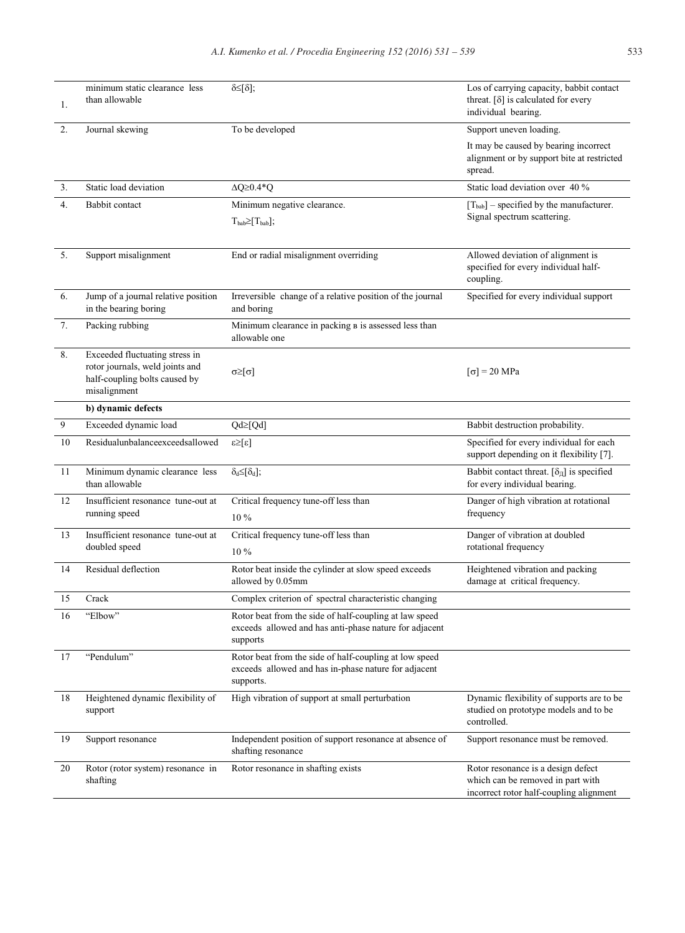| 1.               | minimum static clearance less<br>than allowable                                                                    | δ≤[δ];                                                                                                                       | Los of carrying capacity, babbit contact<br>threat. $\lceil \delta \rceil$ is calculated for every<br>individual bearing. |
|------------------|--------------------------------------------------------------------------------------------------------------------|------------------------------------------------------------------------------------------------------------------------------|---------------------------------------------------------------------------------------------------------------------------|
| 2.               | Journal skewing                                                                                                    | To be developed                                                                                                              | Support uneven loading.                                                                                                   |
|                  |                                                                                                                    |                                                                                                                              | It may be caused by bearing incorrect<br>alignment or by support bite at restricted<br>spread.                            |
| 3.               | Static load deviation                                                                                              | $\Delta Q \geq 0.4*Q$                                                                                                        | Static load deviation over 40 %                                                                                           |
| 4.               | Babbit contact                                                                                                     | Minimum negative clearance.                                                                                                  | $[T_{bab}]$ – specified by the manufacturer.<br>Signal spectrum scattering.                                               |
|                  |                                                                                                                    | $T_{bab} \geq [T_{bab}];$                                                                                                    |                                                                                                                           |
| 5.               | Support misalignment                                                                                               | End or radial misalignment overriding                                                                                        | Allowed deviation of alignment is<br>specified for every individual half-<br>coupling.                                    |
| 6.               | Jump of a journal relative position<br>in the bearing boring                                                       | Irreversible change of a relative position of the journal<br>and boring                                                      | Specified for every individual support                                                                                    |
| 7.               | Packing rubbing                                                                                                    | Minimum clearance in packing B is assessed less than<br>allowable one                                                        |                                                                                                                           |
| 8.               | Exceeded fluctuating stress in<br>rotor journals, weld joints and<br>half-coupling bolts caused by<br>misalignment | $\alpha \geq  \alpha $                                                                                                       | $\lceil \sigma \rceil$ = 20 MPa                                                                                           |
|                  | b) dynamic defects                                                                                                 |                                                                                                                              |                                                                                                                           |
| $\boldsymbol{9}$ | Exceeded dynamic load                                                                                              | $Qd \geq [Qd]$                                                                                                               | Babbit destruction probability.                                                                                           |
| 10               | Residualunbalanceexceedsallowed                                                                                    | $\lceil 3 \rceil \leq 3$                                                                                                     | Specified for every individual for each<br>support depending on it flexibility [7].                                       |
| 11               | Minimum dynamic clearance less<br>than allowable                                                                   | $\delta_d \leq [\delta_d];$                                                                                                  | Babbit contact threat. $[\delta_{\Pi}]$ is specified<br>for every individual bearing.                                     |
| 12               | Insufficient resonance tune-out at<br>running speed                                                                | Critical frequency tune-off less than<br>10 %                                                                                | Danger of high vibration at rotational<br>frequency                                                                       |
| 13               | Insufficient resonance tune-out at<br>doubled speed                                                                | Critical frequency tune-off less than<br>10 %                                                                                | Danger of vibration at doubled<br>rotational frequency                                                                    |
| 14               | Residual deflection                                                                                                | Rotor beat inside the cylinder at slow speed exceeds<br>allowed by 0.05mm                                                    | Heightened vibration and packing<br>damage at critical frequency.                                                         |
| 15               | Crack                                                                                                              | Complex criterion of spectral characteristic changing                                                                        |                                                                                                                           |
| 16               | "Elbow"                                                                                                            | Rotor beat from the side of half-coupling at law speed<br>exceeds allowed and has anti-phase nature for adjacent<br>supports |                                                                                                                           |
| 17               | "Pendulum"                                                                                                         | Rotor beat from the side of half-coupling at low speed<br>exceeds allowed and has in-phase nature for adjacent<br>supports.  |                                                                                                                           |
| 18               | Heightened dynamic flexibility of<br>support                                                                       | High vibration of support at small perturbation                                                                              | Dynamic flexibility of supports are to be<br>studied on prototype models and to be<br>controlled.                         |
| 19               | Support resonance                                                                                                  | Independent position of support resonance at absence of<br>shafting resonance                                                | Support resonance must be removed.                                                                                        |
| 20               | Rotor (rotor system) resonance in<br>shafting                                                                      | Rotor resonance in shafting exists                                                                                           | Rotor resonance is a design defect<br>which can be removed in part with<br>incorrect rotor half-coupling alignment        |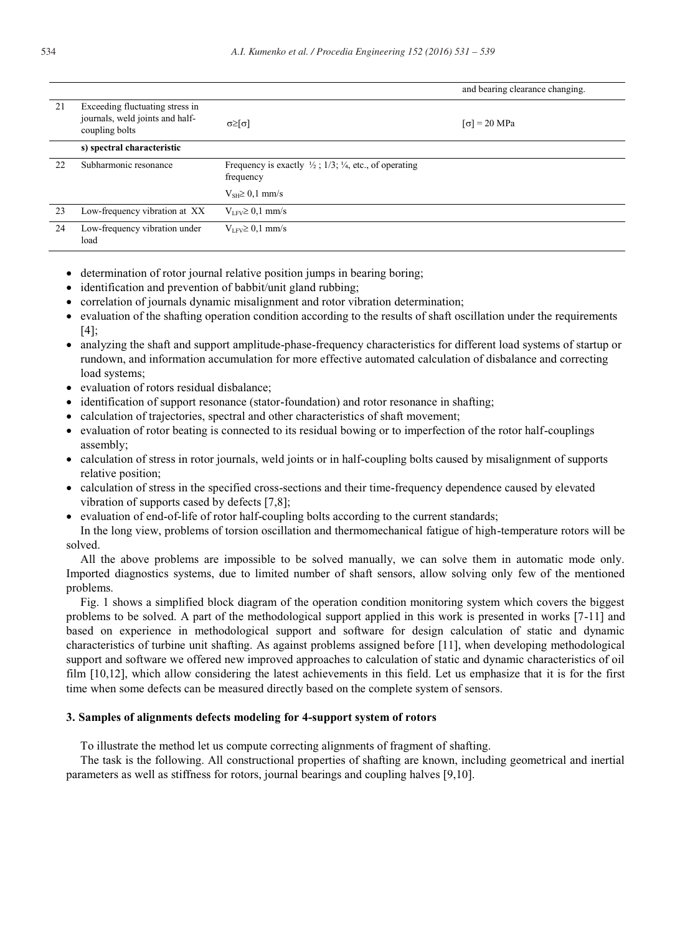|    |                                                                                      |                                                                                           | and bearing clearance changing. |
|----|--------------------------------------------------------------------------------------|-------------------------------------------------------------------------------------------|---------------------------------|
| 21 | Exceeding fluctuating stress in<br>journals, weld joints and half-<br>coupling bolts | $\alpha \geq  \alpha $                                                                    | $\lceil \sigma \rceil$ = 20 MPa |
|    | s) spectral characteristic                                                           |                                                                                           |                                 |
| 22 | Subharmonic resonance                                                                | Frequency is exactly $\frac{1}{2}$ ; 1/3; $\frac{1}{4}$ , etc., of operating<br>frequency |                                 |
|    |                                                                                      | $V_{SH} \geq 0.1$ mm/s                                                                    |                                 |
| 23 | Low-frequency vibration at XX                                                        | $V_{LFV} \geq 0.1$ mm/s                                                                   |                                 |
| 24 | Low-frequency vibration under<br>load                                                | $V_{LFV} \geq 0,1$ mm/s                                                                   |                                 |

- determination of rotor journal relative position jumps in bearing boring;
- identification and prevention of babbit/unit gland rubbing;
- correlation of journals dynamic misalignment and rotor vibration determination;
- evaluation of the shafting operation condition according to the results of shaft oscillation under the requirements [4];
- analyzing the shaft and support amplitude-phase-frequency characteristics for different load systems of startup or rundown, and information accumulation for more effective automated calculation of disbalance and correcting load systems:
- evaluation of rotors residual disbalance;
- identification of support resonance (stator-foundation) and rotor resonance in shafting;
- calculation of trajectories, spectral and other characteristics of shaft movement;
- evaluation of rotor beating is connected to its residual bowing or to imperfection of the rotor half-couplings assembly;
- calculation of stress in rotor journals, weld joints or in half-coupling bolts caused by misalignment of supports relative position;
- calculation of stress in the specified cross-sections and their time-frequency dependence caused by elevated vibration of supports cased by defects [7,8];
- evaluation of end-of-life of rotor half-coupling bolts according to the current standards;

In the long view, problems of torsion oscillation and thermomechanical fatigue of high-temperature rotors will be solved.

All the above problems are impossible to be solved manually, we can solve them in automatic mode only. Imported diagnostics systems, due to limited number of shaft sensors, allow solving only few of the mentioned problems.

Fig. 1 shows a simplified block diagram of the operation condition monitoring system which covers the biggest problems to be solved. A part of the methodological support applied in this work is presented in works [7-11] and based on experience in methodological support and software for design calculation of static and dynamic characteristics of turbine unit shafting. As against problems assigned before [11], when developing methodological support and software we offered new improved approaches to calculation of static and dynamic characteristics of oil film [10,12], which allow considering the latest achievements in this field. Let us emphasize that it is for the first time when some defects can be measured directly based on the complete system of sensors.

#### **3. Samples of alignments defects modeling for 4-support system of rotors**

To illustrate the method let us compute correcting alignments of fragment of shafting.

The task is the following. All constructional properties of shafting are known, including geometrical and inertial parameters as well as stiffness for rotors, journal bearings and coupling halves [9,10].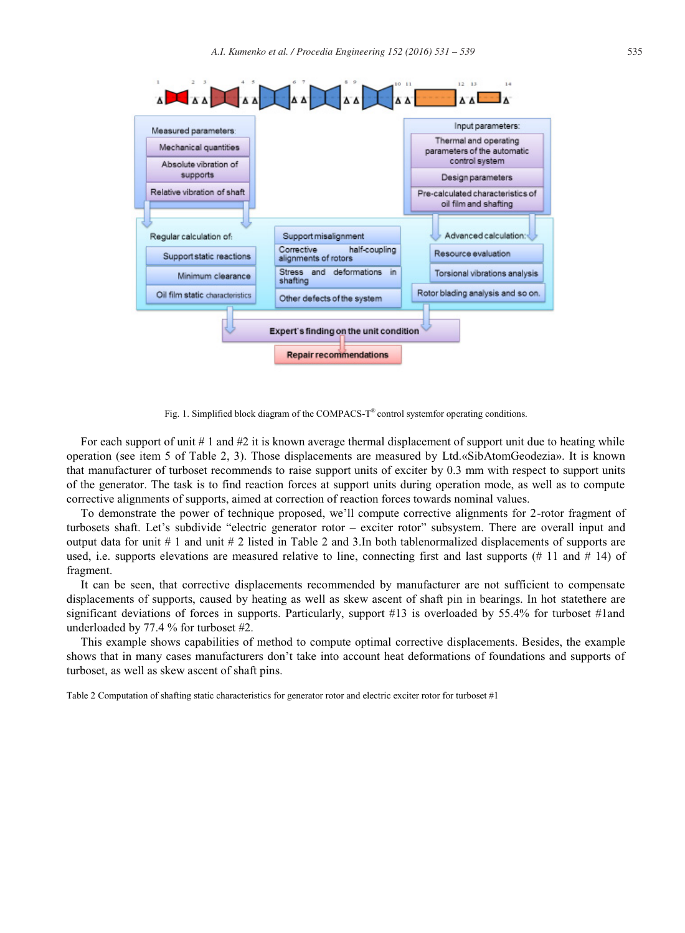

Fig. 1. Simplified block diagram of the COMPACS-T<sup>®</sup> control systemfor operating conditions.

For each support of unit  $\# 1$  and  $\#2$  it is known average thermal displacement of support unit due to heating while operation (see item 5 of Table 2, 3). Those displacements are measured by Ltd.«SibAtomGeodezia». It is known that manufacturer of turboset recommends to raise support units of exciter by 0.3 mm with respect to support units of the generator. The task is to find reaction forces at support units during operation mode, as well as to compute corrective alignments of supports, aimed at correction of reaction forces towards nominal values.

To demonstrate the power of technique proposed, we'll compute corrective alignments for 2-rotor fragment of turbosets shaft. Let's subdivide "electric generator rotor – exciter rotor" subsystem. There are overall input and output data for unit # 1 and unit # 2 listed in Table 2 and 3.In both tablenormalized displacements of supports are used, i.e. supports elevations are measured relative to line, connecting first and last supports (# 11 and # 14) of fragment.

It can be seen, that corrective displacements recommended by manufacturer are not sufficient to compensate displacements of supports, caused by heating as well as skew ascent of shaft pin in bearings. In hot statethere are significant deviations of forces in supports. Particularly, support #13 is overloaded by 55.4% for turboset #1and underloaded by 77.4 % for turboset #2.

This example shows capabilities of method to compute optimal corrective displacements. Besides, the example shows that in many cases manufacturers don't take into account heat deformations of foundations and supports of turboset, as well as skew ascent of shaft pins.

Table 2 Computation of shafting static characteristics for generator rotor and electric exciter rotor for turboset #1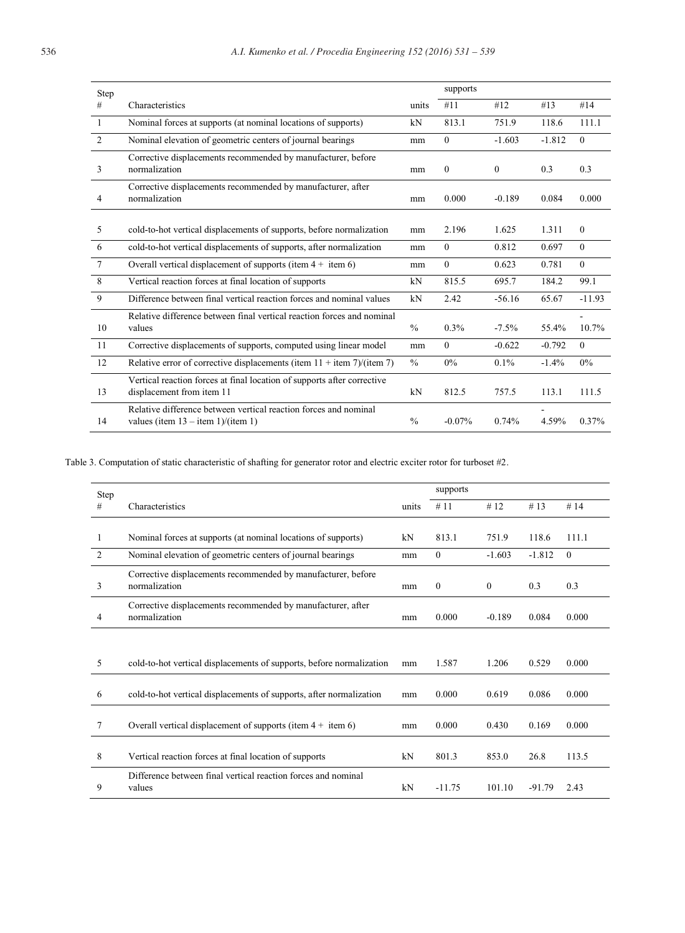| Step           |                                                                                                          |               | supports |              |          |              |
|----------------|----------------------------------------------------------------------------------------------------------|---------------|----------|--------------|----------|--------------|
| #              | Characteristics                                                                                          | units         | #11      | #12          | #13      | #14          |
| 1              | Nominal forces at supports (at nominal locations of supports)                                            | kN            | 813.1    | 751.9        | 118.6    | 111.1        |
| $\overline{c}$ | Nominal elevation of geometric centers of journal bearings                                               | mm            | $\theta$ | $-1.603$     | $-1.812$ | $\Omega$     |
| 3              | Corrective displacements recommended by manufacturer, before<br>normalization<br>mm                      |               | $\theta$ | $\mathbf{0}$ | 0.3      | 0.3          |
| 4              | Corrective displacements recommended by manufacturer, after<br>normalization<br>mm                       |               | 0.000    | $-0.189$     | 0.084    | 0.000        |
| 5              | cold-to-hot vertical displacements of supports, before normalization                                     | mm            | 2.196    | 1.625        | 1.311    | $\mathbf{0}$ |
| 6              | cold-to-hot vertical displacements of supports, after normalization                                      |               | $\theta$ | 0.812        | 0.697    | $\Omega$     |
| 7              | Overall vertical displacement of supports (item $4 +$ item 6)                                            | mm            | $\theta$ | 0.623        | 0.781    | $\Omega$     |
| 8              | Vertical reaction forces at final location of supports                                                   |               | 815.5    | 695.7        | 184.2    | 99.1         |
| 9              | Difference between final vertical reaction forces and nominal values                                     |               | 2.42     | $-56.16$     | 65.67    | $-11.93$     |
| 10             | Relative difference between final vertical reaction forces and nominal<br>values                         | $\frac{0}{0}$ | $0.3\%$  | $-7.5\%$     | 55.4%    | 10.7%        |
| 11             | Corrective displacements of supports, computed using linear model                                        | mm            | $\Omega$ | $-0.622$     | $-0.792$ | $\theta$     |
| 12             | Relative error of corrective displacements (item $11 +$ item 7)/(item 7)                                 | $\frac{0}{0}$ | 0%       | 0.1%         | $-1.4%$  | 0%           |
| 13             | Vertical reaction forces at final location of supports after corrective<br>displacement from item 11     | kN            | 812.5    | 757.5        | 113.1    | 111.5        |
| 14             | Relative difference between vertical reaction forces and nominal<br>values (item $13 -$ item 1)/(item 1) | $\frac{0}{0}$ | $-0.07%$ | 0.74%        | 4.59%    | 0.37%        |

Table 3. Computation of static characteristic of shafting for generator rotor and electric exciter rotor for turboset #2.

| Step |                                                                                     |       | supports     |              |          |          |
|------|-------------------------------------------------------------------------------------|-------|--------------|--------------|----------|----------|
| #    | Characteristics                                                                     | units | #11          | #12          | #13      | # $14$   |
|      |                                                                                     |       |              |              |          |          |
| 1    | Nominal forces at supports (at nominal locations of supports)                       | kN    | 813.1        | 751.9        | 118.6    | 111.1    |
| 2    | Nominal elevation of geometric centers of journal bearings                          | mm    | $\mathbf{0}$ | $-1.603$     | $-1.812$ | $\theta$ |
| 3    | Corrective displacements recommended by manufacturer, before<br>normalization<br>mm |       | $\mathbf{0}$ | $\mathbf{0}$ | 0.3      | 0.3      |
| 4    | Corrective displacements recommended by manufacturer, after<br>normalization<br>mm  |       | 0.000        | $-0.189$     | 0.084    | 0.000    |
|      |                                                                                     |       |              |              |          |          |
| 5    | cold-to-hot vertical displacements of supports, before normalization                | mm    | 1.587        | 1.206        | 0.529    | 0.000    |
| 6    | cold-to-hot vertical displacements of supports, after normalization                 | mm    | 0.000        | 0.619        | 0.086    | 0.000    |
| 7    | Overall vertical displacement of supports (item $4 +$ item 6)                       | mm    | 0.000        | 0.430        | 0.169    | 0.000    |
| 8    | Vertical reaction forces at final location of supports                              | kN    | 801.3        | 853.0        | 26.8     | 113.5    |
| 9    | Difference between final vertical reaction forces and nominal<br>values             | kN    | $-11.75$     | 101.10       | $-91.79$ | 2.43     |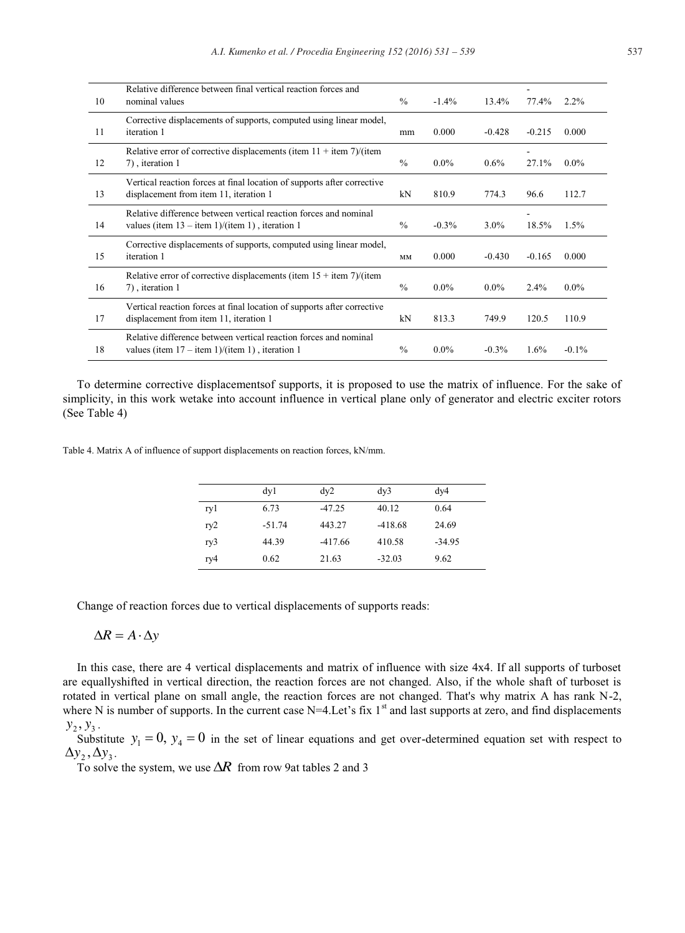| 10 | Relative difference between final vertical reaction forces and<br>nominal values                                      | $\frac{0}{0}$ | $-1.4%$  | 13.4%    | 77.4%    | $2.2\%$  |
|----|-----------------------------------------------------------------------------------------------------------------------|---------------|----------|----------|----------|----------|
| 11 | Corrective displacements of supports, computed using linear model,<br>iteration 1                                     | mm            | 0.000    | $-0.428$ | $-0.215$ | 0.000    |
| 12 | Relative error of corrective displacements (item $11 +$ item 7)/(item<br>7), iteration 1                              | $\frac{0}{0}$ | $0.0\%$  | $0.6\%$  | 27.1%    | $0.0\%$  |
| 13 | Vertical reaction forces at final location of supports after corrective<br>displacement from item 11, iteration 1     | kN            | 810.9    | 774.3    | 96.6     | 112.7    |
| 14 | Relative difference between vertical reaction forces and nominal<br>values (item $13 -$ item 1)/(item 1), iteration 1 | $\frac{0}{0}$ | $-0.3\%$ | $3.0\%$  | 18.5%    | 1.5%     |
| 15 | Corrective displacements of supports, computed using linear model,<br>iteration 1                                     | MM            | 0.000    | $-0.430$ | $-0.165$ | 0.000    |
| 16 | Relative error of corrective displacements (item $15 +$ item 7)/(item<br>7), iteration 1                              | $\frac{0}{0}$ | $0.0\%$  | $0.0\%$  | 2.4%     | $0.0\%$  |
| 17 | Vertical reaction forces at final location of supports after corrective<br>displacement from item 11, iteration 1     | kN            | 813.3    | 749.9    | 120.5    | 110.9    |
| 18 | Relative difference between vertical reaction forces and nominal<br>values (item $17 -$ item 1)/(item 1), iteration 1 | $\frac{0}{0}$ | $0.0\%$  | $-0.3%$  | 1.6%     | $-0.1\%$ |

To determine corrective displacementsof supports, it is proposed to use the matrix of influence. For the sake of simplicity, in this work wetake into account influence in vertical plane only of generator and electric exciter rotors (See Table 4)

Table 4. Matrix A of influence of support displacements on reaction forces, kN/mm.

|     | dy1      | dy2       | dy <sub>3</sub> | dy4      |
|-----|----------|-----------|-----------------|----------|
| ry1 | 6.73     | $-47.25$  | 40.12           | 0.64     |
| ry2 | $-51.74$ | 443.27    | $-418.68$       | 24.69    |
| ry3 | 44.39    | $-417.66$ | 410.58          | $-34.95$ |
| ry4 | 0.62     | 21.63     | $-32.03$        | 9.62     |

Change of reaction forces due to vertical displacements of supports reads:

$$
\Delta R = A \cdot \Delta y
$$

In this case, there are 4 vertical displacements and matrix of influence with size 4x4. If all supports of turboset are equallyshifted in vertical direction, the reaction forces are not changed. Also, if the whole shaft of turboset is rotated in vertical plane on small angle, the reaction forces are not changed. That's why matrix A has rank N-2, where N is number of supports. In the current case  $N=4$ . Let's fix  $1<sup>st</sup>$  and last supports at zero, and find displacements  $y_2, y_3$ .

Substitute  $y_1 = 0$ ,  $y_4 = 0$  in the set of linear equations and get over-determined equation set with respect to  $\Delta y_2$ ,  $\Delta y_3$ .

To solve the system, we use  $\Delta R$  from row 9at tables 2 and 3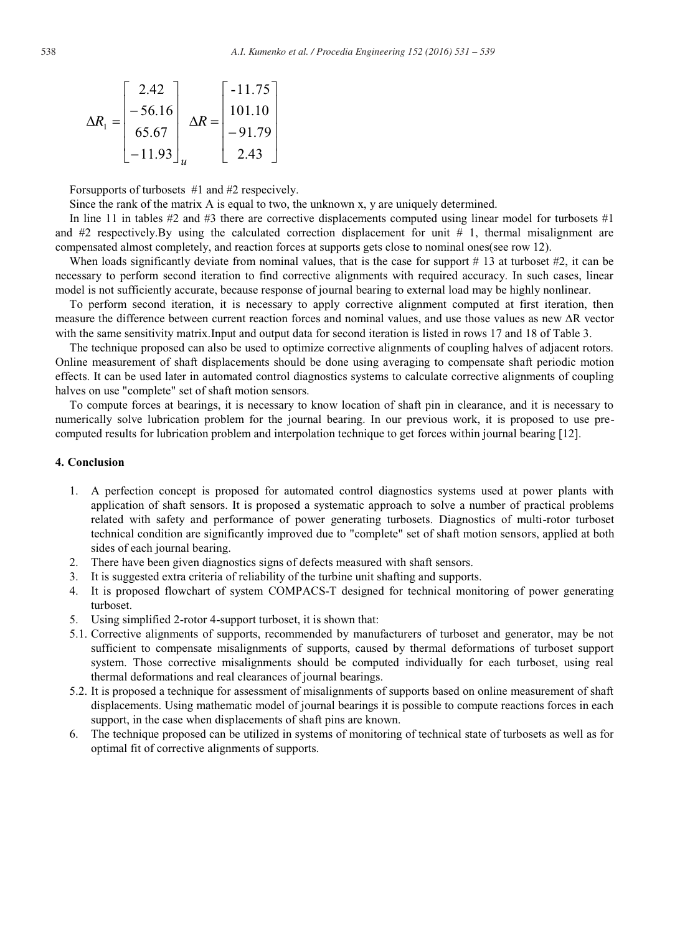$$
\Delta R_1 = \begin{bmatrix} 2.42 \\ -56.16 \\ 65.67 \\ -11.93 \end{bmatrix}_{u} \Delta R = \begin{bmatrix} -11.75 \\ 101.10 \\ -91.79 \\ 2.43 \end{bmatrix}
$$

Forsupports of turbosets #1 and #2 respecively.

Since the rank of the matrix A is equal to two, the unknown x, y are uniquely determined.

In line 11 in tables #2 and #3 there are corrective displacements computed using linear model for turbosets #1 and  $#2$  respectively. By using the calculated correction displacement for unit  $# 1$ , thermal misalignment are compensated almost completely, and reaction forces at supports gets close to nominal ones(see row 12).

When loads significantly deviate from nominal values, that is the case for support  $# 13$  at turboset  $#2$ , it can be necessary to perform second iteration to find corrective alignments with required accuracy. In such cases, linear model is not sufficiently accurate, because response of journal bearing to external load may be highly nonlinear.

To perform second iteration, it is necessary to apply corrective alignment computed at first iteration, then measure the difference between current reaction forces and nominal values, and use those values as new ∆R vector with the same sensitivity matrix.Input and output data for second iteration is listed in rows 17 and 18 of Table 3.

The technique proposed can also be used to optimize corrective alignments of coupling halves of adjacent rotors. Online measurement of shaft displacements should be done using averaging to compensate shaft periodic motion effects. It can be used later in automated control diagnostics systems to calculate corrective alignments of coupling halves on use "complete" set of shaft motion sensors.

To compute forces at bearings, it is necessary to know location of shaft pin in clearance, and it is necessary to numerically solve lubrication problem for the journal bearing. In our previous work, it is proposed to use precomputed results for lubrication problem and interpolation technique to get forces within journal bearing [12].

## **4. Conclusion**

- 1. A perfection concept is proposed for automated control diagnostics systems used at power plants with application of shaft sensors. It is proposed a systematic approach to solve a number of practical problems related with safety and performance of power generating turbosets. Diagnostics of multi-rotor turboset technical condition are significantly improved due to "complete" set of shaft motion sensors, applied at both sides of each journal bearing.
- 2. There have been given diagnostics signs of defects measured with shaft sensors.
- 3. It is suggested extra criteria of reliability of the turbine unit shafting and supports.
- 4. It is proposed flowchart of system COMPACS-T designed for technical monitoring of power generating turboset.
- 5. Using simplified 2-rotor 4-support turboset, it is shown that:
- 5.1. Corrective alignments of supports, recommended by manufacturers of turboset and generator, may be not sufficient to compensate misalignments of supports, caused by thermal deformations of turboset support system. Those corrective misalignments should be computed individually for each turboset, using real thermal deformations and real clearances of journal bearings.
- 5.2. It is proposed a technique for assessment of misalignments of supports based on online measurement of shaft displacements. Using mathematic model of journal bearings it is possible to compute reactions forces in each support, in the case when displacements of shaft pins are known.
- 6. The technique proposed can be utilized in systems of monitoring of technical state of turbosets as well as for optimal fit of corrective alignments of supports.